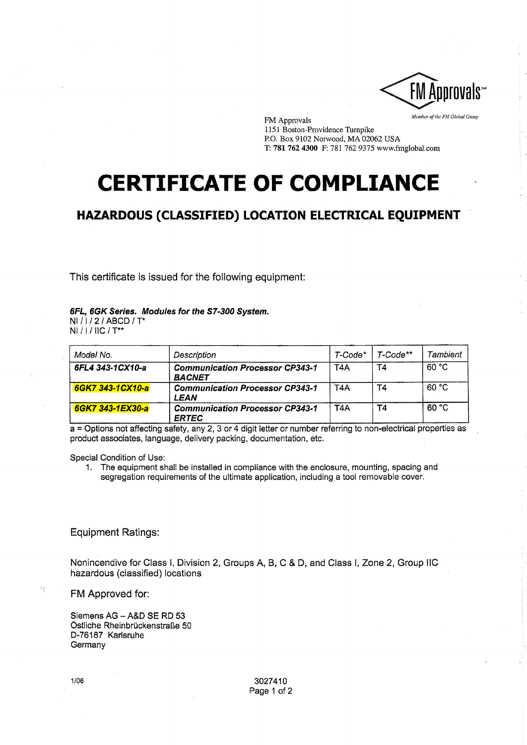

FM Approvals *Member aj'the FU Olobtll Group*  1151 Boston-Providence Turnpike P.O. Box 9102 Norwood, MA 02062 USA T: 781 7624300 F: 781 7629375 www.fmglobal.com

## **CERTIFICATE OF COMPLIANCE**

## **HAZARDOUS (CLASSIFIED) LOCATION ELECTRICAL EQUIPMENT**

This certificate is issued for the following equipment:

## 6FL, 6GK Series. Modules for the S7-300 System.

NI / 1 / 2 / ABCD / T\* NI / I / IIC / T\*\*

| Model No.        | Description                                             | $T$ -Code $*$    | $T-Code***$ | Tambient |
|------------------|---------------------------------------------------------|------------------|-------------|----------|
| 6FL4 343-1CX10-a | <b>Communication Processor CP343-1</b><br><b>BACNET</b> | T <sub>4</sub> A | T4          | 60 °C    |
| 6GK7 343-1CX10-a | <b>Communication Processor CP343-1</b><br>LEAN          | T <sub>4</sub> A | <b>T4</b>   | 60 °C    |
| 6GK7 343-1EX30-a | <b>Communication Processor CP343-1</b><br><b>ERTEC</b>  | T <sub>4</sub> A | T4          | 60 °C    |

ERTEC .. a = Options not affecting safety, any 2, 3 or 4 digit letter or number refernng to non-electncal properties as product associates, language, delivery packing, documentation, etc.

Special Condition of Use:

1. The equipment shall be installed in compliance with the enclosure, mounting, spacing and segregation requirements of the ultimate application, including a tool removable cover.

## Equipment Ratings:

Nonincendive for Class I, Division 2, Groups A, B, C & D, and Class I, Zone 2, Group IIC hazardous (classified) locations

FM Approved for:

Siemens AG - A&D SE RD 53 Östliche Rheinbrückenstraße 50 D-76187 Karlsruhe **Germany**